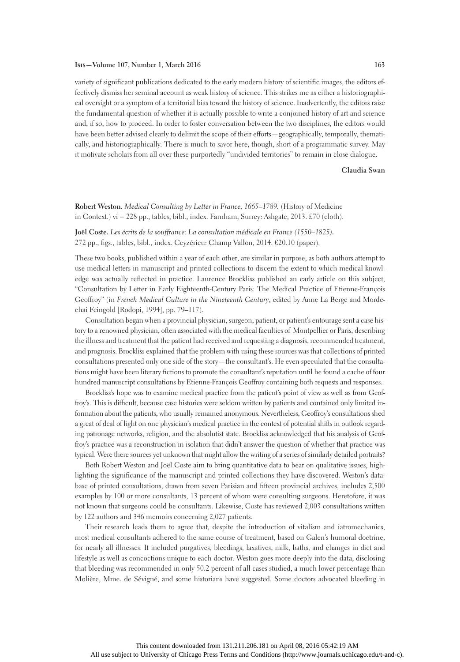#### **Isis—Volume 107, Number 1, March 2016 163**

variety of significant publications dedicated to the early modern history of scientific images, the editors effectively dismiss her seminal account as weak history of science. This strikes me as either a historiographical oversight or a symptom of a territorial bias toward the history of science. Inadvertently, the editors raise the fundamental question of whether it is actually possible to write a conjoined history of art and science and, if so, how to proceed. In order to foster conversation between the two disciplines, the editors would have been better advised clearly to delimit the scope of their efforts—geographically, temporally, thematically, and historiographically. There is much to savor here, though, short of a programmatic survey. May it motivate scholars from all over these purportedly "undivided territories" to remain in close dialogue.

## **Claudia Swan**

**Robert Weston.** *Medical Consulting by Letter in France, 1665–1789.* (History of Medicine in Context.) vi + 228 pp., tables, bibl., index. Farnham, Surrey: Ashgate, 2013. £70 (cloth).

**Joël Coste.** *Les écrits de la souffrance: La consultation médicale en France (1550–1825).* 272 pp., figs., tables, bibl., index. Ceyzérieu: Champ Vallon, 2014. €20.10 (paper).

These two books, published within a year of each other, are similar in purpose, as both authors attempt to use medical letters in manuscript and printed collections to discern the extent to which medical knowledge was actually reflected in practice. Laurence Brockliss published an early article on this subject, "Consultation by Letter in Early Eighteenth-Century Paris: The Medical Practice of Etienne-François Geoffroy" (in *French Medical Culture in the Nineteenth Century*, edited by Anne La Berge and Mordechai Feingold [Rodopi, 1994], pp. 79–117).

Consultation began when a provincial physician, surgeon, patient, or patient's entourage sent a case history to a renowned physician, often associated with the medical faculties of Montpellier or Paris, describing the illness and treatment that the patient had received and requesting a diagnosis, recommended treatment, and prognosis. Brockliss explained that the problem with using these sources was that collections of printed consultations presented only one side of the story—the consultant's. He even speculated that the consultations might have been literary fictions to promote the consultant's reputation until he found a cache of four hundred manuscript consultations by Etienne-François Geoffroy containing both requests and responses.

Brockliss's hope was to examine medical practice from the patient's point of view as well as from Geoffroy's. This is difficult, because case histories were seldom written by patients and contained only limited information about the patients, who usually remained anonymous. Nevertheless, Geoffroy's consultations shed a great of deal of light on one physician's medical practice in the context of potential shifts in outlook regarding patronage networks, religion, and the absolutist state. Brockliss acknowledged that his analysis of Geoffroy's practice was a reconstruction in isolation that didn't answer the question of whether that practice was typical. Were there sources yet unknown that might allow the writing of a series of similarly detailed portraits?

Both Robert Weston and Joël Coste aim to bring quantitative data to bear on qualitative issues, highlighting the significance of the manuscript and printed collections they have discovered. Weston's database of printed consultations, drawn from seven Parisian and fifteen provincial archives, includes 2,500 examples by 100 or more consultants, 13 percent of whom were consulting surgeons. Heretofore, it was not known that surgeons could be consultants. Likewise, Coste has reviewed 2,003 consultations written by 122 authors and 346 memoirs concerning 2,027 patients.

Their research leads them to agree that, despite the introduction of vitalism and iatromechanics, most medical consultants adhered to the same course of treatment, based on Galen's humoral doctrine, for nearly all illnesses. It included purgatives, bleedings, laxatives, milk, baths, and changes in diet and lifestyle as well as concoctions unique to each doctor. Weston goes more deeply into the data, disclosing that bleeding was recommended in only 50.2 percent of all cases studied, a much lower percentage than Molière, Mme. de Sévigné, and some historians have suggested. Some doctors advocated bleeding in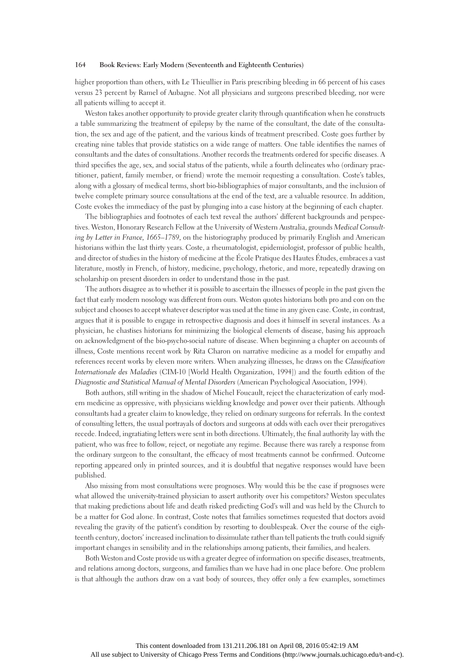# **164 Book Reviews: Early Modern (Seventeenth and Eighteenth Centuries)**

higher proportion than others, with Le Thieullier in Paris prescribing bleeding in 66 percent of his cases versus 23 percent by Ramel of Aubagne. Not all physicians and surgeons prescribed bleeding, nor were all patients willing to accept it.

Weston takes another opportunity to provide greater clarity through quantification when he constructs a table summarizing the treatment of epilepsy by the name of the consultant, the date of the consultation, the sex and age of the patient, and the various kinds of treatment prescribed. Coste goes further by creating nine tables that provide statistics on a wide range of matters. One table identifies the names of consultants and the dates of consultations. Another records the treatments ordered for specific diseases. A third specifies the age, sex, and social status of the patients, while a fourth delineates who (ordinary practitioner, patient, family member, or friend) wrote the memoir requesting a consultation. Coste's tables, along with a glossary of medical terms, short bio-bibliographies of major consultants, and the inclusion of twelve complete primary source consultations at the end of the text, are a valuable resource. In addition, Coste evokes the immediacy of the past by plunging into a case history at the beginning of each chapter.

The bibliographies and footnotes of each text reveal the authors' different backgrounds and perspectives. Weston, Honorary Research Fellow at the University of Western Australia, grounds *Medical Consulting by Letter in France, 1665–1789*, on the historiography produced by primarily English and American historians within the last thirty years. Coste, a rheumatologist, epidemiologist, professor of public health, and director of studies in the history of medicine at the École Pratique des Hautes Études, embraces a vast literature, mostly in French, of history, medicine, psychology, rhetoric, and more, repeatedly drawing on scholarship on present disorders in order to understand those in the past.

The authors disagree as to whether it is possible to ascertain the illnesses of people in the past given the fact that early modern nosology was different from ours. Weston quotes historians both pro and con on the subject and chooses to accept whatever descriptor was used at the time in any given case. Coste, in contrast, argues that it is possible to engage in retrospective diagnosis and does it himself in several instances. As a physician, he chastises historians for minimizing the biological elements of disease, basing his approach on acknowledgment of the bio-psycho-social nature of disease. When beginning a chapter on accounts of illness, Coste mentions recent work by Rita Charon on narrative medicine as a model for empathy and references recent works by eleven more writers. When analyzing illnesses, he draws on the *Classification Internationale des Maladies* (CIM-10 [World Health Organization, 1994]) and the fourth edition of the *Diagnostic and Statistical Manual of Mental Disorders* (American Psychological Association, 1994).

Both authors, still writing in the shadow of Michel Foucault, reject the characterization of early modern medicine as oppressive, with physicians wielding knowledge and power over their patients. Although consultants had a greater claim to knowledge, they relied on ordinary surgeons for referrals. In the context of consulting letters, the usual portrayals of doctors and surgeons at odds with each over their prerogatives recede. Indeed, ingratiating letters were sent in both directions. Ultimately, the final authority lay with the patient, who was free to follow, reject, or negotiate any regime. Because there was rarely a response from the ordinary surgeon to the consultant, the efficacy of most treatments cannot be confirmed. Outcome reporting appeared only in printed sources, and it is doubtful that negative responses would have been published.

Also missing from most consultations were prognoses. Why would this be the case if prognoses were what allowed the university-trained physician to assert authority over his competitors? Weston speculates that making predictions about life and death risked predicting God's will and was held by the Church to be a matter for God alone. In contrast, Coste notes that families sometimes requested that doctors avoid revealing the gravity of the patient's condition by resorting to doublespeak. Over the course of the eighteenth century, doctors' increased inclination to dissimulate rather than tell patients the truth could signify important changes in sensibility and in the relationships among patients, their families, and healers.

Both Weston and Coste provide us with a greater degree of information on specific diseases, treatments, and relations among doctors, surgeons, and families than we have had in one place before. One problem is that although the authors draw on a vast body of sources, they offer only a few examples, sometimes